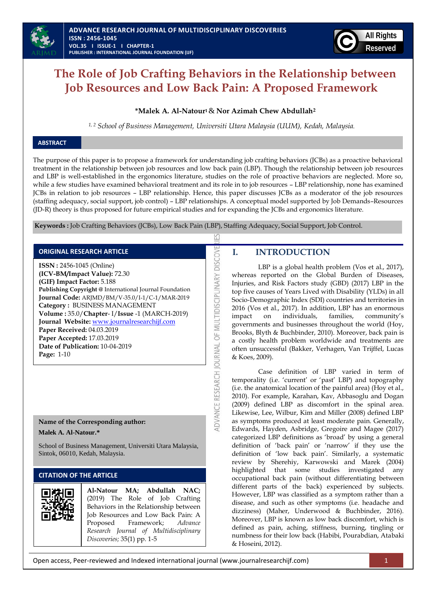

# **The Role of Job Crafting Behaviors in the Relationship between Job Resources and Low Back Pain: A Proposed Framework**

### **\*Malek A. Al-Natour1**& **Nor Azimah Chew Abdullah<sup>2</sup>**

*1, 2 School of Business Management, Universiti Utara Malaysia (UUM), Kedah, Malaysia.*

## **ABSTRACT**

The purpose of this paper is to propose a framework for understanding job crafting behaviors (JCBs) as a proactive behavioral treatment in the relationship between job resources and low back pain (LBP). Though the relationship between job resources and LBP is well-established in the ergonomics literature, studies on the role of proactive behaviors are neglected. More so, while a few studies have examined behavioral treatment and its role in to job resources – LBP relationship, none has examined JCBs in relation to job resources – LBP relationship. Hence, this paper discusses JCBs as a moderator of the job resources (staffing adequacy, social support, job control) – LBP relationships. A conceptual model supported by Job Demands–Resources (JD-R) theory is thus proposed for future empirical studies and for expanding the JCBs and ergonomics literature.

K

ADVANCE RESEARCH JOURNAL OF MULTIDISCIPLINARY DISCOVE

**Keywords :** Job Crafting Behaviors (JCBs), Low Back Pain (LBP), Staffing Adequacy, Social Support, Job Control.

### **ORIGINAL RESEARCH ARTICLE**

**ISSN :** 2456-1045 (Online) **(ICV-BM/Impact Value):** 72.30 **(GIF) Impact Factor:** 5.188 **Publishing Copyright @** International Journal Foundation **Journal Code:** ARJMD/BM/V-35.0/I-1/C-1/MAR-2019 **Category :** BUSINESS MANAGEMENT **Volume :** 35.0/**Chapter**- I/**Issue** -1 (MARCH-2019) **Journal Website:** [www.journalresearchijf.com](http://www.journalresearchijf.com/) **Paper Received:** 04.03.2019 **Paper Accepted:** 17.03.2019 **Date of Publication:** 10-04-2019 **Page:** 1-10

### **Name of the Corresponding author:**

**Malek A. Al-Natour.\***

School of Business Management, Universiti Utara Malaysia, Sintok, 06010, Kedah, Malaysia.

## **CITATION OF THE ARTICLE**



**Al-Natour MA; Abdullah NAC;** (2019) The Role of Job Crafting Behaviors in the Relationship between Job Resources and Low Back Pain: A Proposed Framework; *Advance Research Journal of Multidisciplinary Discoveries;* 35(1) pp. 1-5

## **I. INTRODUCTION**

 LBP is a global health problem (Vos et al., 2017), whereas reported on the Global Burden of Diseases, Injuries, and Risk Factors study (GBD) (2017) LBP in the top five causes of Years Lived with Disability (YLDs) in all Socio-Demographic Index (SDI) countries and territories in 2016 (Vos et al., 2017). In addition, LBP has an enormous impact on individuals, families, community's governments and businesses throughout the world (Hoy, Brooks, Blyth & Buchbinder, 2010). Moreover, back pain is a costly health problem worldwide and treatments are often unsuccessful (Bakker, Verhagen, Van Trijffel, Lucas & Koes, 2009).

Case definition of LBP varied in term of temporality (i.e. 'current' or 'past' LBP) and topography (i.e. the anatomical location of the painful area) (Hoy et al., 2010). For example, Karahan, Kav, Abbasoglu and Dogan (2009) defined LBP as discomfort in the spinal area. Likewise, Lee, Wilbur, Kim and Miller (2008) defined LBP as symptoms produced at least moderate pain. Generally, Edwards, Hayden, Asbridge, Gregoire and Magee (2017) categorized LBP definitions as 'broad' by using a general definition of 'back pain' or 'narrow' if they use the definition of 'low back pain'. Similarly, a systematic review by Sherehiy, Karwowski and Marek (2004) highlighted that some studies investigated any occupational back pain (without differentiating between different parts of the back) experienced by subjects. However, LBP was classified as a symptom rather than a disease, and such as other symptoms (i.e. headache and dizziness) (Maher, Underwood & Buchbinder, 2016). Moreover, LBP is known as low back discomfort, which is defined as pain, aching, stiffness, burning, tingling or numbness for their low back (Habibi, Pourabdian, Atabaki & Hoseini, 2012).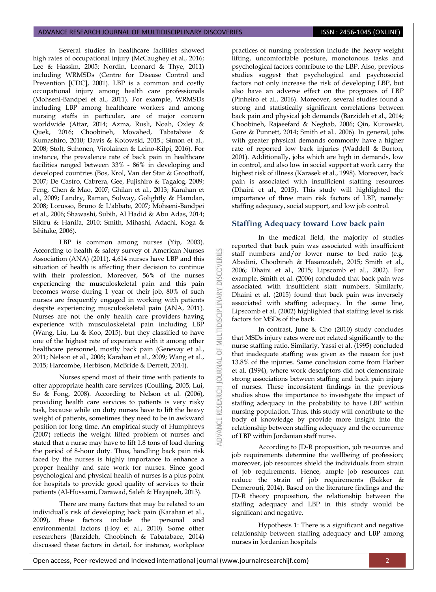Several studies in healthcare facilities showed high rates of occupational injury (McCaughey et al., 2016; Lee & Hassim, 2005; Nordin, Leonard & Thye, 2011) including WRMSDs (Centre for Disease Control and Prevention [CDC], 2001). LBP is a common and costly occupational injury among health care professionals (Mohseni-Bandpei et al., 2011). For example, WRMSDs including LBP among healthcare workers and among nursing staffs in particular, are of major concern worldwide (Attar, 2014; Azma, Rusli, Noah, Oxley & Quek, 2016; Choobineh, Movahed, Tabatabaie & Kumashiro, 2010; Davis & Kotowski, 2015.; Simon et al., 2008; Stolt, Suhonen, Virolainen & Leino-Kilpi, 2016). For instance, the prevalence rate of back pain in healthcare facilities ranged between 33% - 86% in developing and developed countries (Bos, Krol, Van der Star & Groothoff, 2007; De Castro, Cabrera, Gee, Fujishiro & Tagalog, 2009; Feng, Chen & Mao, 2007; Ghilan et al., 2013; Karahan et al., 2009; Landry, Raman, Sulway, Golightly & Hamdan, 2008; Lorusso, Bruno & L'abbate, 2007; Mohseni-Bandpei et al., 2006; Shawashi, Subih, Al Hadid & Abu Adas, 2014; Sikiru & Hanifa, 2010; Smith, Mihashi, Adachi, Koga & Ishitake, 2006).

LBP is common among nurses (Yip, 2003). According to health & safety survey of American Nurses Association (ANA) (2011), 4,614 nurses have LBP and this situation of health is affecting their decision to continue with their profession. Moreover, 56% of the nurses experiencing the musculoskeletal pain and this pain becomes worse during 1 year of their job, 80% of such nurses are frequently engaged in working with patients despite experiencing musculoskeletal pain (ANA, 2011). Nurses are not the only health care providers having experience with musculoskeletal pain including LBP (Wang, Liu, Lu & Koo, 2015), but they classified to have one of the highest rate of experience with it among other healthcare personnel, mostly back pain (Genevay et al., 2011; Nelson et al., 2006; Karahan et al., 2009; Wang et al., 2015; Harcombe, Herbison, McBride & Derrett, 2014).

Nurses spend most of their time with patients to offer appropriate health care services (Coulling, 2005; Lui, So & Fong, 2008). According to Nelson et al. (2006), providing health care services to patients is very risky task, because while on duty nurses have to lift the heavy weight of patients, sometimes they need to be in awkward position for long time. An empirical study of Humphreys (2007) reflects the weight lifted problem of nurses and stated that a nurse may have to lift 1.8 tons of load during the period of 8-hour duty. Thus, handling back pain risk faced by the nurses is highly importance to enhance a proper healthy and safe work for nurses. Since good psychological and physical health of nurses is a plus point for hospitals to provide good quality of services to their patients (Al-Hussami, Darawad, Saleh & Hayajneh, 2013).

There are many factors that may be related to an individual's risk of developing back pain (Karahan et al., 2009), these factors include the personal and environmental factors (Hoy et al., 2010). Some other researchers (Barzideh, Choobineh & Tabatabaee, 2014) discussed these factors in detail, for instance, workplace

practices of nursing profession include the heavy weight lifting, uncomfortable posture, monotonous tasks and psychological factors contribute to the LBP. Also, previous studies suggest that psychological and psychosocial factors not only increase the risk of developing LBP, but also have an adverse effect on the prognosis of LBP (Pinheiro et al., 2016). Moreover, several studies found a strong and statistically significant correlations between back pain and physical job demands (Barzideh et al., 2014; Choobineh, Rajaeefard & Neghab, 2006; Qin, Kurowski, Gore & Punnett, 2014; Smith et al.. 2006). In general, jobs with greater physical demands commonly have a higher rate of reported low back injuries (Waddell & Burton, 2001). Additionally, jobs which are high in demands, low in control, and also low in social support at work carry the highest risk of illness (Karasek et al., 1998). Moreover, back pain is associated with insufficient staffing resources (Dhaini et al., 2015). This study will highlighted the importance of three main risk factors of LBP, namely: staffing adequacy, social support, and low job control.

### **Staffing Adequacy toward Low back pain**

53

**DISCOVERI** 

MULTIDISCIPLINARY

 $\overline{5}$ 

**JOURNAL** 

ADVANCE RESEARCH

In the medical field, the majority of studies reported that back pain was associated with insufficient staff numbers and/or lower nurse to bed ratio (e.g. Abedini, Choobineh & Hasanzadeh, 2015; Smith et al., 2006; Dhaini et al., 2015; Lipscomb et al., 2002). For example, Smith et al. (2006) concluded that back pain was associated with insufficient staff numbers. Similarly, Dhaini et al. (2015) found that back pain was inversely associated with staffing adequacy. In the same line, Lipscomb et al. (2002) highlighted that staffing level is risk factors for MSDs of the back.

In contrast, June & Cho (2010) study concludes that MSDs injury rates were not related significantly to the nurse staffing ratio. Similarly, Yassi et al. (1995) concluded that inadequate staffing was given as the reason for just 13.8% of the injuries. Same conclusion come from Harber et al. (1994), where work descriptors did not demonstrate strong associations between staffing and back pain injury of nurses. These inconsistent findings in the previous studies show the importance to investigate the impact of staffing adequacy in the probability to have LBP within nursing population. Thus, this study will contribute to the body of knowledge by provide more insight into the relationship between staffing adequacy and the occurrence of LBP within Jordanian staff nurse.

According to JD-R proposition, job resources and job requirements determine the wellbeing of profession; moreover, job resources shield the individuals from strain of job requirements. Hence, ample job resources can reduce the strain of job requirements (Bakker & Demerouti, 2014). Based on the literature findings and the JD-R theory proposition, the relationship between the staffing adequacy and LBP in this study would be significant and negative.

Hypothesis 1: There is a significant and negative relationship between staffing adequacy and LBP among nurses in Jordanian hospitals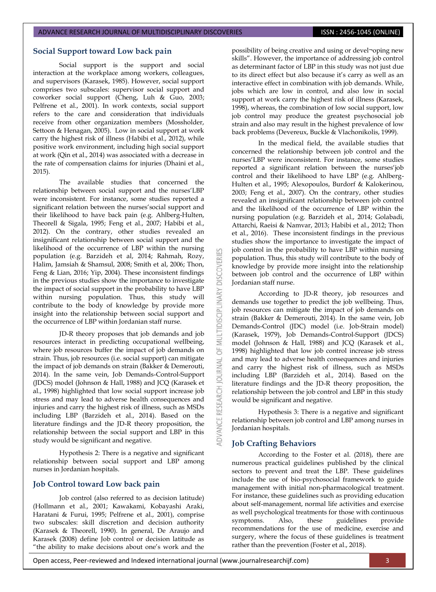### **Social Support toward Low back pain**

Social support is the support and social interaction at the workplace among workers, colleagues, and supervisors (Karasek, 1985). However, social support comprises two subscales: supervisor social support and coworker social support (Cheng, Luh & Guo, 2003; Pelfrene et al., 2001). In work contexts, social support refers to the care and consideration that individuals receive from other organization members (Mossholder, Settoon & Henagan, 2005). Low in social support at work carry the highest risk of illness (Habibi et al., 2012), while positive work environment, including high social support at work (Qin et al., 2014) was associated with a decrease in the rate of compensation claims for injuries (Dhaini et al., 2015).

The available studies that concerned the relationship between social support and the nurses'LBP were inconsistent. For instance, some studies reported a significant relation between the nurses' social support and their likelihood to have back pain (e.g. Ahlberg-Hulten, Theorell & Sigala, 1995; Feng et al., 2007; Habibi et al., 2012). On the contrary, other studies revealed an insignificant relationship between social support and the likelihood of the occurrence of LBP within the nursing population (e.g. Barzideh et al, 2014; Rahmah, Rozy, Halim, Jamsiah & Shamsul, 2008; Smith et al, 2006; Thon, Feng & Lian, 2016; Yip, 2004). These inconsistent findings in the previous studies show the importance to investigate the impact of social support in the probability to have LBP within nursing population. Thus, this study will contribute to the body of knowledge by provide more insight into the relationship between social support and the occurrence of LBP within Jordanian staff nurse.

JD-R theory proposes that job demands and job resources interact in predicting occupational wellbeing, where job resources buffer the impact of job demands on strain. Thus, job resources (i.e. social support) can mitigate the impact of job demands on strain (Bakker & Demerouti, 2014). In the same vein, Job Demands-Control-Support (JDCS) model (Johnson & Hall, 1988) and JCQ (Karasek et al., 1998) highlighted that low social support increase job stress and may lead to adverse health consequences and injuries and carry the highest risk of illness, such as MSDs including LBP (Barzideh et al., 2014). Based on the literature findings and the JD-R theory proposition, the relationship between the social support and LBP in this study would be significant and negative.

Hypothesis 2: There is a negative and significant relationship between social support and LBP among nurses in Jordanian hospitals.

### **Job Control toward Low back pain**

Job control (also referred to as decision latitude) (Hollmann et al., 2001; Kawakami, Kobayashi Araki, Haratani & Furui, 1995; Pelfrene et al., 2001), comprise two subscales: skill discretion and decision authority (Karasek & Theorell, 1990). In general, De Araujo and Karasek (2008) define Job control or decision latitude as "the ability to make decisions about one's work and the

possibility of being creative and using or devel¬oping new skills". However, the importance of addressing job control as determinant factor of LBP in this study was not just due to its direct effect but also because it's carry as well as an interactive effect in combination with job demands. While, jobs which are low in control, and also low in social support at work carry the highest risk of illness (Karasek, 1998), whereas, the combination of low social support, low job control may produce the greatest psychosocial job strain and also may result in the highest prevalence of low back problems (Devereux, Buckle & Vlachonikolis, 1999).

In the medical field, the available studies that concerned the relationship between job control and the nurses‗LBP were inconsistent. For instance, some studies reported a significant relation between the nurses'job control and their likelihood to have LBP (e.g. Ahlberg-Hulten et al., 1995; Alexopoulos, Burdorf & Kalokerinou, 2003; Feng et al., 2007). On the contrary, other studies revealed an insignificant relationship between job control and the likelihood of the occurrence of LBP within the nursing population (e.g. Barzideh et al., 2014; Golabadi, Attarchi, Raeisi & Namvar, 2013; Habibi et al., 2012; Thon et al., 2016). These inconsistent findings in the previous studies show the importance to investigate the impact of job control in the probability to have LBP within nursing population. Thus, this study will contribute to the body of knowledge by provide more insight into the relationship between job control and the occurrence of LBP within Jordanian staff nurse.

According to JD-R theory, job resources and demands use together to predict the job wellbeing. Thus, job resources can mitigate the impact of job demands on strain (Bakker & Demerouti, 2014). In the same vein, Job Demands-Control (JDC) model (i.e. Job-Strain model) (Karasek, 1979), Job Demands-Control-Support (JDCS) model (Johnson & Hall, 1988) and JCQ (Karasek et al., 1998) highlighted that low job control increase job stress and may lead to adverse health consequences and injuries and carry the highest risk of illness, such as MSDs including LBP (Barzideh et al., 2014). Based on the literature findings and the JD-R theory proposition, the relationship between the job control and LBP in this study would be significant and negative.

Hypothesis 3: There is a negative and significant relationship between job control and LBP among nurses in Jordanian hospitals.

### **Job Crafting Behaviors**

53

**DISCOVERI** 

MULTIDISCIPLINARY

 $\overline{6}$ 

**JOURNAL** 

DVANCE RESEARCH

According to the Foster et al. (2018), there are numerous practical guidelines published by the clinical sectors to prevent and treat the LBP. These guidelines include the use of bio-psychosocial framework to guide management with initial non-pharmacological treatment. For instance, these guidelines such as providing education about self-management, normal life activities and exercise as well psychological treatments for those with continuous symptoms. Also, these guidelines provide recommendations for the use of medicine, exercise and surgery, where the focus of these guidelines is treatment rather than the prevention (Foster et al., 2018).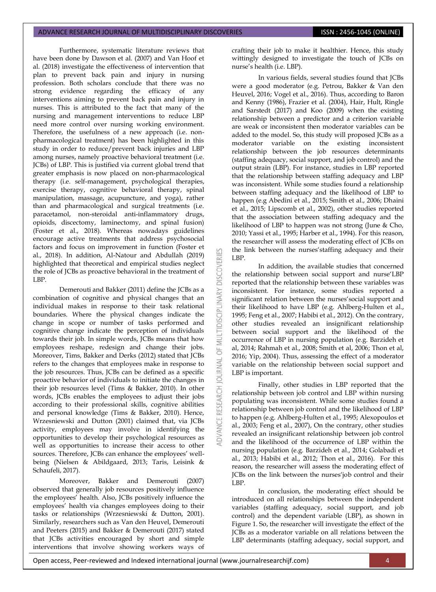## ADVANCE RESEARCH JOURNAL OF MULTIDISCIPLINARY DISCOVERIES **INC. AND SEARCH 1999** ISSN : 2456-1045 (ONLINE)

Furthermore, systematic literature reviews that have been done by Dawson et al. (2007) and Van Hoof et al. (2018) investigate the effectiveness of intervention that plan to prevent back pain and injury in nursing profession. Both scholars conclude that there was no strong evidence regarding the efficacy of any interventions aiming to prevent back pain and injury in nurses. This is attributed to the fact that many of the nursing and management interventions to reduce LBP need more control over nursing working environment. Therefore, the usefulness of a new approach (i.e. nonpharmacological treatment) has been highlighted in this study in order to reduce/prevent back injuries and LBP among nurses, namely proactive behavioral treatment (i.e. JCBs) of LBP. This is justified via current global trend that greater emphasis is now placed on non-pharmacological therapy (i.e. self-management, psychological therapies, exercise therapy, cognitive behavioral therapy, spinal manipulation, massage, acupuncture, and yoga), rather than and pharmacological and surgical treatments (i.e. paracetamol, non-steroidal anti-inflammatory drugs, opioids, discectomy, laminectomy, and spinal fusion) (Foster et al., 2018). Whereas nowadays guidelines encourage active treatments that address psychosocial factors and focus on improvement in function (Foster et al., 2018). In addition, Al-Natour and Abdullah (2019) highlighted that theoretical and empirical studies neglect the role of JCBs as proactive behavioral in the treatment of LBP.

Demerouti and Bakker (2011) define the JCBs as a combination of cognitive and physical changes that an individual makes in response to their task relational boundaries. Where the physical changes indicate the change in scope or number of tasks performed and cognitive change indicate the perception of individuals towards their job. In simple words, JCBs means that how employees reshape, redesign and change their jobs. Moreover, Tims, Bakker and Derks (2012) stated that JCBs refers to the changes that employees make in response to the job resources. Thus, JCBs can be defined as a specific proactive behavior of individuals to initiate the changes in their job resources level (Tims & Bakker, 2010). In other words, JCBs enables the employees to adjust their jobs according to their professional skills, cognitive abilities and personal knowledge (Tims & Bakker, 2010). Hence, Wrzesniewski and Dutton (2001) claimed that, via JCBs activity, employees may involve in identifying the opportunities to develop their psychological resources as well as opportunities to increase their access to other sources. Therefore, JCBs can enhance the employees' wellbeing (Nielsen & Abildgaard, 2013; Taris, Leisink & Schaufeli, 2017).

Moreover, Bakker and Demerouti (2007) observed that generally job resources positively influence the employees' health. Also, JCBs positively influence the employees' health via changes employees doing to their tasks or relationships (Wrzesniewski & Dutton, 2001). Similarly, researchers such as Van den Heuvel, Demerouti and Peeters (2015) and Bakker & Demerouti (2017) stated that JCBs activities encouraged by short and simple interventions that involve showing workers ways of

crafting their job to make it healthier. Hence, this study wittingly designed to investigate the touch of JCBs on nurse's health (i.e. LBP).

In various fields, several studies found that JCBs were a good moderator (e.g. Petrou, Bakker & Van den Heuvel, 2016; Vogel et al., 2016). Thus, according to Baron and Kenny (1986), Frazier et al. (2004), Hair, Hult, Ringle and Sarstedt (2017) and Koo (2009) when the existing relationship between a predictor and a criterion variable are weak or inconsistent then moderator variables can be added to the model. So, this study will proposed JCBs as a moderator variable on the existing inconsistent relationship between the job resources determinants (staffing adequacy, social support, and job control) and the output strain (LBP). For instance, studies in LBP reported that the relationship between staffing adequacy and LBP was inconsistent. While some studies found a relationship between staffing adequacy and the likelihood of LBP to happen (e.g Abedini et al., 2015; Smith et al., 2006; Dhaini et al., 2015; Lipscomb et al., 2002), other studies reported that the association between staffing adequacy and the likelihood of LBP to happen was not strong (June & Cho, 2010; Yassi et al., 1995; Harber et al., 1994). For this reason, the researcher will assess the moderating effect of JCBs on the link between the nurses' staffing adequacy and their LBP.

In addition, the available studies that concerned the relationship between social support and nurse'LBP reported that the relationship between these variables was inconsistent. For instance, some studies reported a significant relation between the nurses' social support and their likelihood to have LBP (e.g. Ahlberg-Hulten et al., 1995; Feng et al., 2007; Habibi et al., 2012). On the contrary, other studies revealed an insignificant relationship between social support and the likelihood of the occurrence of LBP in nursing population (e.g. Barzideh et al, 2014; Rahmah et al., 2008; Smith et al, 2006; Thon et al, 2016; Yip, 2004). Thus, assessing the effect of a moderator variable on the relationship between social support and LBP is important.

Finally, other studies in LBP reported that the relationship between job control and LBP within nursing populating was inconsistent. While some studies found a relationship between job control and the likelihood of LBP to happen (e.g. Ahlberg-Hulten et al., 1995; Alexopoulos et al., 2003; Feng et al., 2007), On the contrary, other studies revealed an insignificant relationship between job control and the likelihood of the occurrence of LBP within the nursing population (e.g. Barzideh et al., 2014; Golabadi et al., 2013; Habibi et al., 2012; Thon et al., 2016). For this reason, the researcher will assess the moderating effect of JCBs on the link between the nurses'job control and their LBP.

In conclusion, the moderating effect should be introduced on all relationships between the independent variables (staffing adequacy, social support, and job control) and the dependent variable (LBP), as shown in Figure 1. So, the researcher will investigate the effect of the JCBs as a moderator variable on all relations between the LBP determinants (staffing adequacy, social support, and

53

**DISCOVERI** 

MULTIDISCIPLINARY

 $\overline{5}$ 

**JOURNAL** 

**RESEARCH**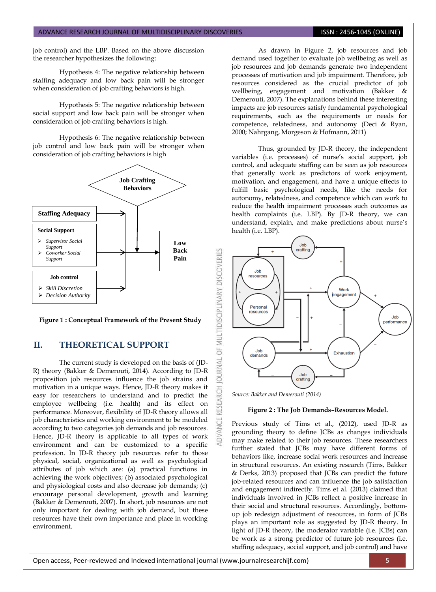job control) and the LBP. Based on the above discussion the researcher hypothesizes the following:

Hypothesis 4: The negative relationship between staffing adequacy and low back pain will be stronger when consideration of job crafting behaviors is high.

Hypothesis 5: The negative relationship between social support and low back pain will be stronger when consideration of job crafting behaviors is high.

Hypothesis 6: The negative relationship between job control and low back pain will be stronger when consideration of job crafting behaviors is high



**Figure 1 : Conceptual Framework of the Present Study**

## **II. THEORETICAL SUPPORT**

The current study is developed on the basis of (JD-R) theory (Bakker & Demerouti, 2014). According to JD-R proposition job resources influence the job strains and motivation in a unique ways. Hence, JD-R theory makes it easy for researchers to understand and to predict the employee wellbeing (i.e. health) and its effect on performance. Moreover, flexibility of JD-R theory allows all job characteristics and working environment to be modeled according to two categories job demands and job resources. Hence, JD-R theory is applicable to all types of work environment and can be customized to a specific profession. In JD-R theory job resources refer to those physical, social, organizational as well as psychological attributes of job which are: (a) practical functions in achieving the work objectives; (b) associated psychological and physiological costs and also decrease job demands; (c) encourage personal development, growth and learning (Bakker & Demerouti, 2007). In short, job resources are not only important for dealing with job demand, but these resources have their own importance and place in working environment.

As drawn in Figure 2, job resources and job demand used together to evaluate job wellbeing as well as job resources and job demands generate two independent processes of motivation and job impairment. Therefore, job resources considered as the crucial predictor of job wellbeing, engagement and motivation (Bakker & Demerouti, 2007). The explanations behind these interesting impacts are job resources satisfy fundamental psychological requirements, such as the requirements or needs for competence, relatedness, and autonomy (Deci & Ryan, 2000; Nahrgang, Morgeson & Hofmann, 2011)

Thus, grounded by JD-R theory, the independent variables (i.e. processes) of nurse's social support, job control, and adequate staffing can be seen as job resources that generally work as predictors of work enjoyment, motivation, and engagement, and have a unique effects to fulfill basic psychological needs, like the needs for autonomy, relatedness, and competence which can work to reduce the health impairment processes such outcomes as health complaints (i.e. LBP). By JD-R theory, we can understand, explain, and make predictions about nurse's health (i.e. LBP).



*Source: Bakker and Demerouti (2014)*

OF MULTIDISCIPLINARY DISCOVERIES

**JAWAL** 

RESEARCH

### **Figure 2 : The Job Demands–Resources Model.**

Previous study of Tims et al., (2012), used JD-R as grounding theory to define JCBs as changes individuals may make related to their job resources. These researchers further stated that JCBs may have different forms of behaviors like, increase social work resources and increase in structural resources. An existing research (Tims, Bakker & Derks, 2013) proposed that JCBs can predict the future job-related resources and can influence the job satisfaction and engagement indirectly. Tims et al. (2013) claimed that individuals involved in JCBs reflect a positive increase in their social and structural resources. Accordingly, bottomup job redesign adjustment of resources, in form of JCBs plays an important role as suggested by JD-R theory. In light of JD-R theory, the moderator variable (i.e. JCBs) can be work as a strong predictor of future job resources (i.e. staffing adequacy, social support, and job control) and have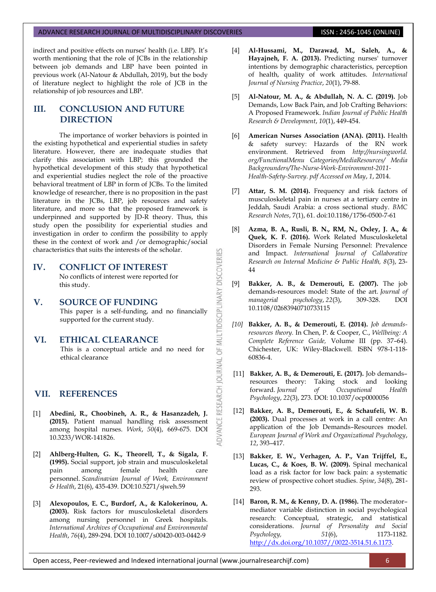indirect and positive effects on nurses' health (i.e. LBP). It's worth mentioning that the role of JCBs in the relationship between job demands and LBP have been pointed in previous work (Al-Natour & Abdullah, 2019), but the body of literature neglect to highlight the role of JCB in the relationship of job resources and LBP.

## **III. CONCLUSION AND FUTURE DIRECTION**

The importance of worker behaviors is pointed in the existing hypothetical and experiential studies in safety literature. However, there are inadequate studies that clarify this association with LBP; this grounded the hypothetical development of this study that hypothetical and experiential studies neglect the role of the proactive behavioral treatment of LBP in form of JCBs. To the limited knowledge of researcher, there is no proposition in the past literature in the JCBs, LBP, job resources and safety literature, and more so that the proposed framework is underpinned and supported by  $\overline{D-R}$  theory. Thus, this study open the possibility for experiential studies and investigation in order to confirm the possibility to apply these in the context of work and /or demographic/social characteristics that suits the interests of the scholar.

**IV. CONFLICT OF INTEREST** No conflicts of interest were reported for this study.

### **V. SOURCE OF FUNDING**

This paper is a self-funding, and no financially supported for the current study.

OF MULTIDISCIPLINARY DISCOVERIES

**ADVANCE RESEARCH JOURNAL** 

## **VI. ETHICAL CLEARANCE**

This is a conceptual article and no need for ethical clearance

## **VII. REFERENCES**

- [1] **Abedini, R., Choobineh, A. R., & Hasanzadeh, J. (2015).** Patient manual handling risk assessment among hospital nurses. *Work*, *50*(4), 669-675. DOI 10.3233/WOR-141826.
- [2] **Ahlberg-Hulten, G. K., Theorell, T., & Sigala, F. (1995).** Social support, job strain and musculoskeletal pain among female health care personnel. *Scandinavian Journal of Work, Environment & Health*, 21(6), 435-439. DOI:10.5271/sjweh.59
- [3] **Alexopoulos, E. C., Burdorf, A., & Kalokerinou, A. (2003).** Risk factors for musculoskeletal disorders among nursing personnel in Greek hospitals. *International Archives of Occupational and Environmental Health*, *76*(4), 289-294. DOI 10.1007/s00420-003-0442-9
- [4] **Al**‐**Hussami, M., Darawad, M., Saleh, A., & Hayajneh, F. A. (2013).** Predicting nurses' turnover intentions by demographic characteristics, perception of health, quality of work attitudes. *International Journal of Nursing Practice*, *20*(1), 79-88.
- [5] **Al-Natour, M. A., & Abdullah, N. A. C. (2019).** Job Demands, Low Back Pain, and Job Crafting Behaviors: A Proposed Framework. *Indian Journal of Public Health Research & Development*, *10*(1), 449-454.
- [6] **American Nurses Association (ANA). (2011).** Health & safety survey: Hazards of the RN work environment. Retrieved from *http://nursingworld. org/FunctionalMenu Categories/MediaResources/ Media Backgrounders/The-Nurse-Work-Environment-2011- Health-Safety-Survey. pdf Accessed on May*, *1*, 2014.
- [7] **Attar, S. M. (2014).** Frequency and risk factors of musculoskeletal pain in nurses at a tertiary centre in Jeddah, Saudi Arabia: a cross sectional study. *BMC Research Notes*, 7(1), 61. doi:10.1186/1756-0500-7-61
- [8] **Azma, B. A., Rusli, B. N., RM, N., Oxley, J. A., & Quek, K. F. (2016).** Work Related Musculoskeletal Disorders in Female Nursing Personnel: Prevalence and Impact. *International Journal of Collaborative Research on Internal Medicine & Public Health, 8*(3), 23- 44
- [9] **Bakker, A. B., & Demerouti, E. (2007).** The job demands-resources model: State of the art. *Journal of managerial psychology*, *22*(3), 309-328. DOI 10.1108/02683940710733115
- *[10]* **Bakker, A. B., & Demerouti, E. (2014).** *Job demandsresources theory.* In Chen, P. & Cooper, C., *Wellbeing: A Complete Reference Guide,* Volume III (pp. 37–64). Chichester, UK: Wiley-Blackwell. ISBN 978-1-118- 60836-4.
- [11] **Bakker, A. B., & Demerouti, E. (2017).** Job demands– resources theory: Taking stock and looking forward. *Journal of Occupational Health Psychology*, *22*(3), 273. DOI: 10.1037/ocp0000056
- [12] **Bakker, A. B., Demerouti, E., & Schaufeli, W. B. (2003).** Dual processes at work in a call centre: An application of the Job Demands–Resources model. *European Journal of Work and Organizational Psychology*, *12*, 393–417.
- [13] **Bakker, E. W., Verhagen, A. P., Van Trijffel, E., Lucas, C., & Koes, B. W. (2009).** Spinal mechanical load as a risk factor for low back pain: a systematic review of prospective cohort studies. *Spine*, *34*(8), 281- 293.
- [14] **Baron, R. M., & Kenny, D. A. (1986).** The moderator– mediator variable distinction in social psychological research: Conceptual, strategic, and statistical considerations. *Journal of Personality and Social Psychology, 51*(6), 1173-1182. [http://dx.doi.org/10.1037//0022-3514.51.6.1173.](http://dx.doi.org/10.1037/0022-3514.51.6.1173)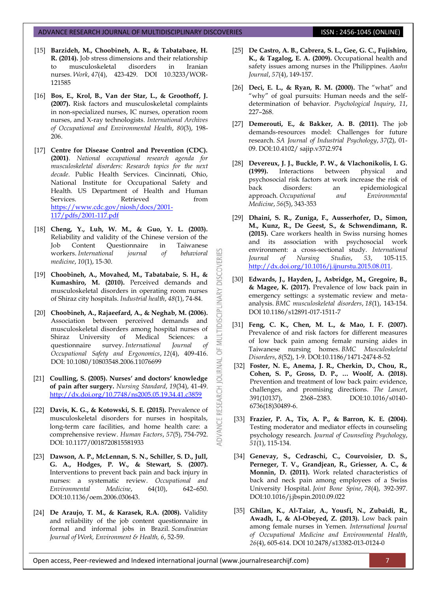- [15] **Barzideh, M., Choobineh, A. R., & Tabatabaee, H. R. (2014).** Job stress dimensions and their relationship to musculoskeletal disorders in Iranian nurses. *Work*, *47*(4), 423-429. DOI 10.3233/WOR-121585
- [16] **Bos, E., Krol, B., Van der Star, L., & Groothoff, J. (2007).** Risk factors and musculoskeletal complaints in non-specialized nurses, IC nurses, operation room nurses, and X-ray technologists. *International Archives of Occupational and Environmental Health*, *80*(3), 198- 206.
- [17] **Centre for Disease Control and Prevention (CDC). (2001)**. *National occupational research agenda for musculoskeletal disorders: Research topics for the next decade*. Public Health Services. Cincinnati, Ohio, National Institute for Occupational Safety and Health. US Department of Health and Human Services. Retrieved from [https://www.cdc.gov/niosh/docs/2001-](https://www.cdc.gov/niosh/docs/2001-117/pdfs/2001-117.pdf) [117/pdfs/2001-117.pdf](https://www.cdc.gov/niosh/docs/2001-117/pdfs/2001-117.pdf)
- [18] **Cheng, Y., Luh, W. M., & Guo, Y. L. (2003).** Reliability and validity of the Chinese version of the Job Content Questionnaire in Taiwanese workers. *International journal of behavioral medicine*, *10*(1), 15-30.
- [19] **Choobineh, A., Movahed, M., Tabatabaie, S. H., & Kumashiro, M. (2010).** Perceived demands and musculoskeletal disorders in operating room nurses of Shiraz city hospitals. *Industrial health*, *48*(1), 74-84.

**DISCOVERI** 

MULTIDISCIPLINARY

5F

RESEARCH JOURNAL

ADVANCE

- [20] **Choobineh, A., Rajaeefard, A., & Neghab, M. (2006).** Association between perceived demands and musculoskeletal disorders among hospital nurses of Shiraz University of Medical Sciences: a questionnaire survey. *International Journal of Occupational Safety and Ergonomics*, *12*(4), 409-416. DOI: 10.1080/10803548.2006.11076699
- [21] **Coulling, S. (2005). Nurses' and doctors' knowledge of pain after surgery.** *Nursing Standard*, *19*(34), 41-49. <http://dx.doi.org/10.7748/ns2005.05.19.34.41.c3859>
- [22] **Davis, K. G., & Kotowski, S. E. (2015).** Prevalence of musculoskeletal disorders for nurses in hospitals, long-term care facilities, and home health care: a comprehensive review. *Human Factors*, *57*(5), 754-792. DOI: 10.1177/0018720815581933
- [23] **Dawson, A. P., McLennan, S. N., Schiller, S. D., Jull, G. A., Hodges, P. W., & Stewart, S. (2007).** Interventions to prevent back pain and back injury in nurses: a systematic review. *Occupational and Environmental Medicine*, 64(10), 642–650. DOI:10.1136/oem.2006.030643.
- [24] **De Araujo, T. M., & Karasek, R.A. (2008).** Validity and reliability of the job content questionnaire in formal and informal jobs in Brazil. *Scandinavian Journal of Work, Environment & Health, 6*, 52-59.
- [25] **De Castro, A. B., Cabrera, S. L., Gee, G. C., Fujishiro, K., & Tagalog, E. A. (2009).** Occupational health and safety issues among nurses in the Philippines. *Aaohn Journal*, *57*(4), 149-157.
- [26] **Deci, E. L., & Ryan, R. M. (2000).** The "what" and "why" of goal pursuits: Human needs and the selfdetermination of behavior. *Psychological Inquiry*, *11*, 227–268.
- [27] **Demerouti, E., & Bakker, A. B. (2011).** The job demands-resources model: Challenges for future research. *SA Journal of Industrial Psychology*, *37*(2), 01- 09. DOI:10.4102/ sajip.v37i2.974
- [28] **Devereux, J. J., Buckle, P. W., & Vlachonikolis, I. G. (1999).** Interactions between physical and psychosocial risk factors at work increase the risk of back disorders: an epidemiological approach. *Occupational and Environmental Medicine*, *56*(5), 343-353
- [29] **Dhaini, S. R., Zuniga, F., Ausserhofer, D., Simon, M., Kunz, R., De Geest, S., & Schwendimann, R. (2015).** Care workers health in Swiss nursing homes and its association with psychosocial work environment: a cross-sectional study. *International Journal of Nursing Studies*, *53*, 105-115. [http://dx.doi.org/10.1016/j.ijnurstu.2015.08.011.](http://dx.doi.org/10.1016/j.ijnurstu.2015.08.011)
- [30] **Edwards, J., Hayden, J., Asbridge, M., Gregoire, B., & Magee, K. (2017).** Prevalence of low back pain in emergency settings: a systematic review and metaanalysis. *BMC musculoskeletal disorders*, *18*(1), 143-154. DOI 10.1186/s12891-017-1511-7
- [31] **Feng, C. K., Chen, M. L., & Mao, I. F. (2007).** Prevalence of and risk factors for different measures of low back pain among female nursing aides in Taiwanese nursing homes. *BMC Musculoskeletal Disorders*, *8*(52), 1-9. DOI:10.1186/1471-2474-8-52
- [32] **Foster, N. E., Anema, J. R., Cherkin, D., Chou, R., Cohen, S. P., Gross, D. P., … Woolf, A. (2018).** Prevention and treatment of low back pain: evidence, challenges, and promising directions. *The Lancet*, 391(10137), 2368–2383. DOI:10.1016/s0140- 6736(18)30489-6.
- [33] **Frazier, P. A., Tix, A. P., & Barron, K. E. (2004).** Testing moderator and mediator effects in counseling psychology research. *Journal of Counseling Psychology*, *51*(1), 115-134.
- [34] **Genevay, S., Cedraschi, C., Courvoisier, D. S., Perneger, T. V., Grandjean, R., Griesser, A. C., & Monnin, D. (2011).** Work related characteristics of back and neck pain among employees of a Swiss University Hospital. *Joint Bone Spine*, *78*(4), 392-397. DOI:10.1016/j.jbspin.2010.09.022
- [35] **Ghilan, K., Al-Taiar, A., Yousfi, N., Zubaidi, R., Awadh, I., & Al-Obeyed, Z. (2013).** Low back pain among female nurses in Yemen. *International Journal of Occupational Medicine and Environmental Health*, *26*(4), 605-614. DOI 10.2478/s13382-013-0124-0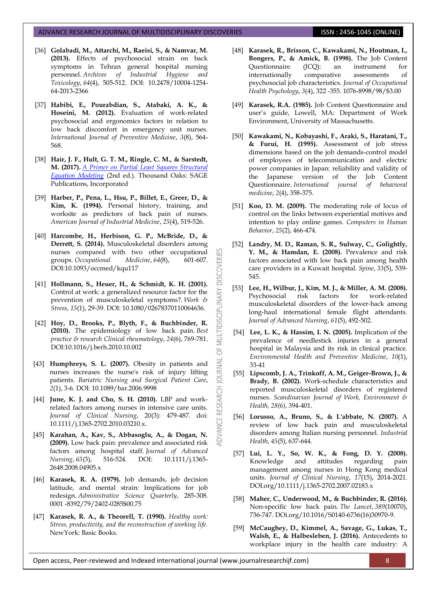- [36] **Golabadi, M., Attarchi, M., Raeisi, S., & Namvar, M. (2013).** Effects of psychosocial strain on back symptoms in Tehran general hospital nursing personnel. *Archives of Industrial Hygiene and Toxicology*, *64*(4), 505-512. DOI: 10.2478/10004-1254- 64-2013-2366
- [37] **Habibi, E., Pourabdian, S., Atabaki, A. K., & Hoseini, M. (2012).** Evaluation of work-related psychosocial and ergonomics factors in relation to low back discomfort in emergency unit nurses. *International Journal of Preventive Medicine*, *3*(8), 564- 568.
- [38] **Hair, J. F., Hult, G. T. M., Ringle, C. M., & Sarstedt, M. (2017).** *[A Primer on Partial Least Squares Structural](https://www.amazon.de/gp/product/B01DT3F33I/ref=as_li_tl?ie=UTF8&camp=1638&creative=6742&creativeASIN=B01DT3F33I&linkCode=as2&tag=httpwwwsma079-21)  [Equation Modeling](https://www.amazon.de/gp/product/B01DT3F33I/ref=as_li_tl?ie=UTF8&camp=1638&creative=6742&creativeASIN=B01DT3F33I&linkCode=as2&tag=httpwwwsma079-21)* (2nd ed.). Thousand Oaks: SAGE Publications, Incorporated
- [39] **Harber, P., Pena, L., Hsu, P., Billet, E., Greer, D., & Kim, K. (1994).** Personal history, training, and worksite as predictors of back pain of nurses. *American Journal of Industrial Medicine*, *25*(4), 519-526.
- [40] **Harcombe, H., Herbison, G. P., McBride, D., & Derrett, S. (2014).** Musculoskeletal disorders among nurses compared with two other occupational groups. *Occupational Medicine*, *64*(8), 601-607. DOI:10.1093/occmed/kqu117

**DISCOVERI** 

MULTIDISCIPLINARY

5F

**JOURNAL** 

**RESEARCH** 

ADVANCE

- [41] **Hollmann, S., Heuer, H., & Schmidt, K. H. (2001).** Control at work: a generalized resource factor for the prevention of musculoskeletal symptoms?. *Work & Stress*, *15*(1), 29-39. DOI: 10.1080/02678370110064636.
- [42] **Hoy, D., Brooks, P., Blyth, F., & Buchbinder, R. (2010).** The epidemiology of low back pain. *Best practice & research Clinical rheumatology*, *24*(6), 769-781. DOI:10.1016/j.berh.2010.10.002
- [43] **Humphreys, S. L. (2007).** Obesity in patients and nurses increases the nurse's risk of injury lifting patients. *Bariatric Nursing and Surgical Patient Care*, *2*(1), 3-6. DOI: 10.1089/bar.2006.9998
- [44] **June, K. J. and Cho, S. H. (2010).** LBP and workrelated factors among nurses in intensive care units. *Journal of Clinical Nursing*, 20(3): 479-487. doi: 10.1111/j.1365-2702.2010.03210.x.
- [45] **Karahan, A., Kav, S., Abbasoglu, A., & Dogan, N. (2009).** Low back pain: prevalence and associated risk factors among hospital staff. *Journal of Advanced Nursing*, *65*(3), 516-524. DOI: 10.1111/j.1365- 2648.2008.04905.x
- [46] **Karasek, R. A. (1979).** Job demands, job decision latitude, and mental strain: Implications for job redesign. *Administrative Science Quarterly*, 285-308. 0001 -8392/79/2402-0285\$00.75
- [47] **Karasek, R. A., & Theorell, T. (1990).** *Healthy work: Stress, productivity, and the reconstruction of working life.*  NewYork: Basic Books.
- [48] **Karasek, R., Brisson, C., Kawakami, N., Houtman, I., Bongers, P., & Amick, B. (1998).** The Job Content Questionnaire (JCQ): an instrument for internationally comparative assessments of psychosocial job characteristics. *Journal of Occupational Health Psychology*, *3*(4), 322 -355. 1076-8998/98/\$3.00
- [49] **Karasek, R.A. (1985).** Job Content Questionnaire and user's guide, Lowell, MA: Department of Work Environment, University of Massachusetts.
- [50] **Kawakami, N., Kobayashi, F., Araki, S., Haratani, T., & Furui, H. (1995).** Assessment of job stress dimensions based on the job demands-control model of employees of telecommunication and electric power companies in Japan: reliability and validity of the Japanese version of the Job Content Questionnaire. *International journal of behavioral medicine*, *2*(4), 358-375.
- [51] **Koo, D. M. (2009).** The moderating role of locus of control on the links between experiential motives and intention to play online games. *Computers in Human Behavior*, *25*(2), 466-474.
- [52] **Landry, M. D., Raman, S. R., Sulway, C., Golightly, Y. M., & Hamdan, E. (2008).** Prevalence and risk factors associated with low back pain among health care providers in a Kuwait hospital. *Spine*, *33*(5), 539- 545.
- [53] **Lee, H., Wilbur, J., Kim, M. J., & Miller, A. M. (2008).** Psychosocial risk factors for work‐related musculoskeletal disorders of the lower‐back among long‐haul international female flight attendants. *Journal of Advanced Nursing*, *61*(5), 492-502.
- [54] **Lee, L. K., & Hassim, I. N. (2005).** Implication of the prevalence of needlestick injuries in a general hospital in Malaysia and its risk in clinical practice. *Environmental Health and Preventive Medicine*, *10*(1), 33-41
- [55] **Lipscomb, J. A., Trinkoff, A. M., Geiger-Brown, J., & Brady, B. (2002).** Work-schedule characteristics and reported musculoskeletal disorders of registered nurses. *Scandinavian Journal of Work, Environment & Health, 28(6)*, 394-401.
- [56] **Lorusso, A., Bruno, S., & L'abbate, N. (2007).** A review of low back pain and musculoskeletal disorders among Italian nursing personnel. *Industrial Health*, *45*(5), 637-644.
- [57] **Lui, L. Y., So, W. K., & Fong, D. Y. (2008).** Knowledge and attitudes regarding pain management among nurses in Hong Kong medical units. *Journal of Clinical Nursing*, *17*(15), 2014-2021. DOI.org/10.1111/j.1365-2702.2007.02183.x
- [58] **Maher, C., Underwood, M., & Buchbinder, R. (2016).** Non-specific low back pain. *The Lancet*, *389*(10070), 736-747. DOi.org/10.1016/S0140-6736(16)30970-9.
- [59] **McCaughey, D., Kimmel, A., Savage, G., Lukas, T., Walsh, E., & Halbesleben, J. (2016).** Antecedents to workplace injury in the health care industry: A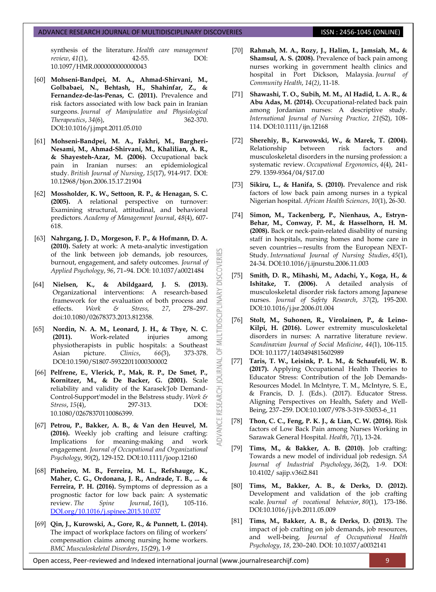synthesis of the literature. *Health care management review*, *41*(1), 42-55. DOI: 10.1097/HMR.0000000000000043

- [60] **Mohseni-Bandpei, M. A., Ahmad-Shirvani, M., Golbabaei, N., Behtash, H., Shahinfar, Z., & Fernandez-de-las-Penas, C. (2011).** Prevalence and risk factors associated with low back pain in Iranian surgeons. *Journal of Manipulative and Physiological Therapeutics*, *34*(6), 362-370. DOI:10.1016/j.jmpt.2011.05.010
- [61] **Mohseni-Bandpei, M. A., Fakhri, M., Bargheri-Nesami, M., Ahmad-Shirvani, M., Khalilian, A. R., & Shayesteh-Azar, M. (2006).** Occupational back pain in Iranian nurses: an epidemiological study. *British Journal of Nursing*, *15*(17), 914-917. DOI: 10.12968/bjon.2006.15.17.21904
- [62] **Mossholder, K. W., Settoon, R. P., & Henagan, S. C. (2005).** A relational perspective on turnover: Examining structural, attitudinal, and behavioral predictors. *Academy of Management Journal*, *48*(4), 607- 618.
- [63] **Nahrgang, J. D., Morgeson, F. P., & Hofmann, D. A. (2010).** Safety at work: A meta-analytic investigation of the link between job demands, job resources, burnout, engagement, and safety outcomes. *Journal of Applied Psychology*, *96*, 71–94. DOI: 10.1037/a0021484

**DISCOVERI** 

MULTIDISCIPLINARY

5

RNAL  $\overline{0}$ 

RESEARCH

ADVANCE

- [64] **Nielsen, K., & Abildgaard, J. S. (2013).** Organizational interventions: A research-based framework for the evaluation of both process and<br>effects. Work & Stress, 27, 278-297. effects. *Work & Stress, 27*, 278–297. doi:10.1080/02678373.2013.812358.
- [65] **Nordin, N. A. M., Leonard, J. H., & Thye, N. C. (2011).** Work-related injuries among physiotherapists in public hospitals: a Southeast Asian picture. *Clinics*, *66*(3), 373-378. DOI:10.1590/S1807-59322011000300002
- [66] **Pelfrene, E., Vlerick, P., Mak, R. P., De Smet, P., Kornitzer, M., & De Backer, G. (2001).** Scale reliability and validity of the Karasek'Job Demand-Control-Support'model in the Belstress study. *Work & Stress*, *15*(4), 297-313. DOI: 10.1080/02678370110086399.
- [67] **Petrou, P., Bakker, A. B., & Van den Heuvel, M. (2016).** Weekly job crafting and leisure crafting: Implications for meaning‐making and work engagement. *Journal of Occupational and Organizational Psychology*, *90*(2), 129-152. DOI:10.1111/joop.12160
- [68] **Pinheiro, M. B., Ferreira, M. L., Refshauge, K., Maher, C. G., Ordonana, J. R., Andrade, T. B., ... & Ferreira, P. H. (2016).** Symptoms of depression as a prognostic factor for low back pain: A systematic review. *The Spine Journal*, *16*(1), 105-116. [DOI.org/10.1016/j.spinee.2015.10.037](https://doi.org/10.1016/j.spinee.2015.10.037)
- [69] **Qin, J., Kurowski, A., Gore, R., & Punnett, L. (2014).** The impact of workplace factors on filing of workers' compensation claims among nursing home workers. *BMC Musculoskeletal Disorders*, *15(*29), 1-9
- [70] **Rahmah, M. A., Rozy, J., Halim, I., Jamsiah, M., & Shamsul, A. S. (2008).** Prevalence of back pain among nurses working in government health clinics and hospital in Port Dickson, Malaysia. *Journal of Community Health*, *14*(*2)*, 11-18.
- [71] **Shawashi, T. O., Subih, M. M., Al Hadid, L. A. R., & Abu Adas, M. (2014).** Occupational‐related back pain among Jordanian nurses: A descriptive study. *International Journal of Nursing Practice*, *21*(S2), 108- 114. DOI:10.1111/ijn.12168
- [72] **Sherehiy, B., Karwowski, W., & Marek, T. (2004).** Relationship between risk factors and musculoskeletal disorders in the nursing profession: a systematic review. *Occupational Ergonomics*, *4*(4), 241- 279. 1359-9364/04/\$17.00
- [73] **Sikiru, L., & Hanifa, S. (2010).** Prevalence and risk factors of low back pain among nurses in a typical Nigerian hospital. *African Health Sciences*, *10*(1), 26-30.
- [74] **Simon, M., Tackenberg, P., Nienhaus, A., Estryn-Behar, M., Conway, P. M., & Hasselhorn, H. M. (2008).** Back or neck-pain-related disability of nursing staff in hospitals, nursing homes and home care in seven countries—results from the European NEXT-Study. *International Journal of Nursing Studies*, *45*(1), 24-34. DOI:10.1016/j.ijnurstu.2006.11.003
- [75] **Smith, D. R., Mihashi, M., Adachi, Y., Koga, H., & Ishitake, T. (2006).** A detailed analysis of musculoskeletal disorder risk factors among Japanese nurses. *Journal of Safety Research*, *37*(2), 195-200. DOI:10.1016/j.jsr.2006.01.004
- [76] **Stolt, M., Suhonen, R., Virolainen, P., & Leino-Kilpi, H. (2016).** Lower extremity musculoskeletal disorders in nurses: A narrative literature review. *Scandinavian Journal of Social Medicine*, *44*(1), 106-115. DOI: 10.1177/1403494815602989
- [77] **Taris, T. W., Leisink, P. L. M., & Schaufeli, W. B. (2017).** Applying Occupational Health Theories to Educator Stress: Contribution of the Job Demands-Resources Model. In McIntyre, T. M., McIntyre, S. E., & Francis, D. J. (Eds.). (2017). Educator Stress. Aligning Perspectives on Health, Safety and Well-Being, 237–259. DOI:10.1007/978-3-319-53053-6\_11
- [78] **Thon, C. C., Feng, P. K. J., & Lian, C. W. (2016).** Risk factors of Low Back Pain among Nurses Working in Sarawak General Hospital. *Health*, *7*(1), 13-24.
- [79] **Tims, M., & Bakker, A. B. (2010).** Job crafting: Towards a new model of individual job redesign. *SA Journal of Industrial Psychology*, *36*(2), 1-9. DOI: 10.4102/ sajip.v36i2.841
- [80] **Tims, M., Bakker, A. B., & Derks, D. (2012).** Development and validation of the job crafting scale. *Journal of vocational behavior*, *80*(1), 173-186. DOI:10.1016/j.jvb.2011.05.009
- [81] **Tims, M., Bakker, A. B., & Derks, D. (2013).** The impact of job crafting on job demands, job resources, and well-being. *Journal of Occupational Health Psychology*, *18*, 230–240. DOI: 10.1037/a0032141